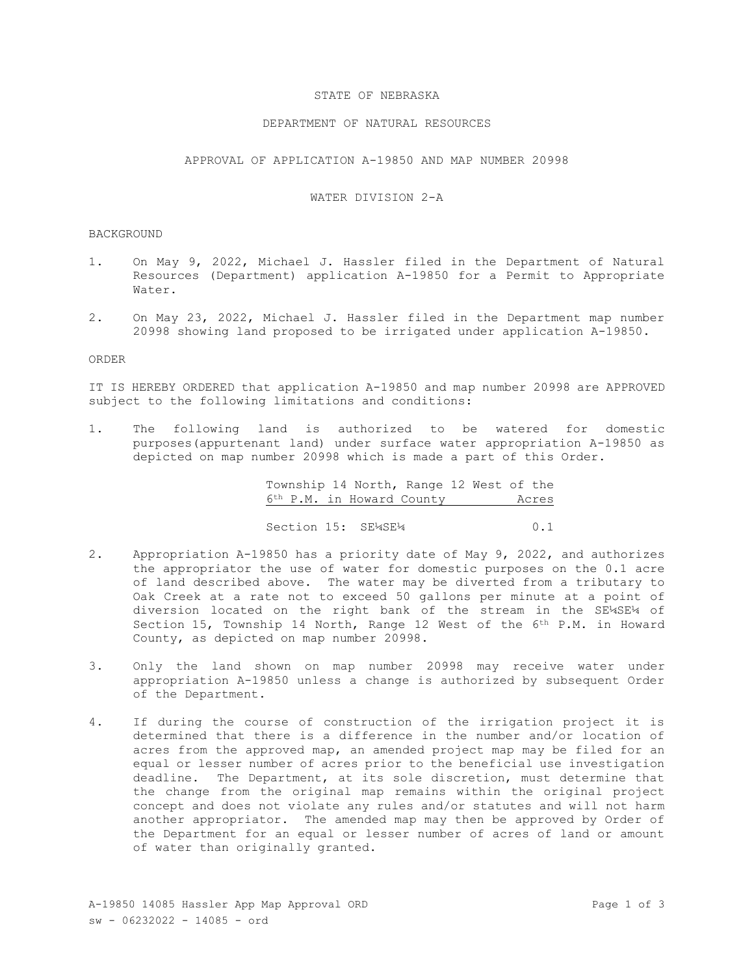## STATE OF NEBRASKA

## DEPARTMENT OF NATURAL RESOURCES

APPROVAL OF APPLICATION A-19850 AND MAP NUMBER 20998

## WATER DIVISION 2-A

### BACKGROUND

- 1. On May 9, 2022, Michael J. Hassler filed in the Department of Natural Resources (Department) application A-19850 for a Permit to Appropriate Water.
- 2. On May 23, 2022, Michael J. Hassler filed in the Department map number 20998 showing land proposed to be irrigated under application A-19850.

#### ORDER

IT IS HEREBY ORDERED that application A-19850 and map number 20998 are APPROVED subject to the following limitations and conditions:

1. The following land is authorized to be watered for domestic purposes(appurtenant land) under surface water appropriation A-19850 as depicted on map number 20998 which is made a part of this Order.

> Township 14 North, Range 12 West of the 6th P.M. in Howard County Acres

> Section 15: SE¼SE¼ 0.1

- 2. Appropriation A-19850 has a priority date of May 9, 2022, and authorizes the appropriator the use of water for domestic purposes on the 0.1 acre of land described above. The water may be diverted from a tributary to Oak Creek at a rate not to exceed 50 gallons per minute at a point of diversion located on the right bank of the stream in the SE¼SE¼ of Section 15, Township 14 North, Range 12 West of the 6<sup>th</sup> P.M. in Howard County, as depicted on map number 20998.
- 3. Only the land shown on map number 20998 may receive water under appropriation A-19850 unless a change is authorized by subsequent Order of the Department.
- 4. If during the course of construction of the irrigation project it is determined that there is a difference in the number and/or location of acres from the approved map, an amended project map may be filed for an equal or lesser number of acres prior to the beneficial use investigation deadline. The Department, at its sole discretion, must determine that the change from the original map remains within the original project concept and does not violate any rules and/or statutes and will not harm another appropriator. The amended map may then be approved by Order of the Department for an equal or lesser number of acres of land or amount of water than originally granted.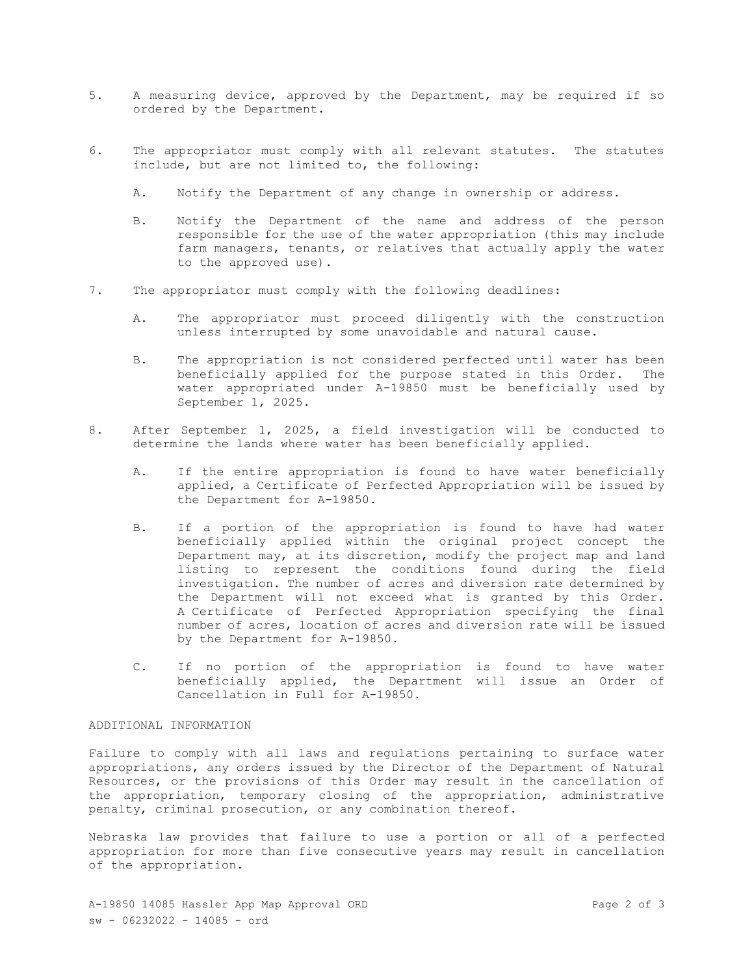- 5. A measuring device, approved by the Department, may be required if so ordered by the Department.
- 6. The appropriator must comply with all relevant statutes. The statutes include, but are not limited to, the following:
	- A. Notify the Department of any change in ownership or address.
	- B. Notify the Department of the name and address of the person responsible for the use of the water appropriation (this may include farm managers, tenants, or relatives that actually apply the water to the approved use).
- 7. The appropriator must comply with the following deadlines:
	- A. The appropriator must proceed diligently with the construction unless interrupted by some unavoidable and natural cause.
	- B. The appropriation is not considered perfected until water has been beneficially applied for the purpose stated in this Order. The water appropriated under A-19850 must be beneficially used by September 1, 2025.
- 8. After September 1, 2025, a field investigation will be conducted to determine the lands where water has been beneficially applied.
	- A. If the entire appropriation is found to have water beneficially applied, a Certificate of Perfected Appropriation will be issued by the Department for A-19850.
	- B. If a portion of the appropriation is found to have had water beneficially applied within the original project concept the Department may, at its discretion, modify the project map and land listing to represent the conditions found during the field investigation. The number of acres and diversion rate determined by the Department will not exceed what is granted by this Order. A Certificate of Perfected Appropriation specifying the final number of acres, location of acres and diversion rate will be issued by the Department for A-19850.
	- C. If no portion of the appropriation is found to have water beneficially applied, the Department will issue an Order of Cancellation in Full for A-19850.

# ADDITIONAL INFORMATION

Failure to comply with all laws and regulations pertaining to surface water appropriations, any orders issued by the Director of the Department of Natural Resources, or the provisions of this Order may result in the cancellation of the appropriation, temporary closing of the appropriation, administrative penalty, criminal prosecution, or any combination thereof.

Nebraska law provides that failure to use a portion or all of a perfected appropriation for more than five consecutive years may result in cancellation of the appropriation.

A-19850 14085 Hassler App Map Approval ORD Page 2 of 3 sw - 06232022 - 14085 - ord